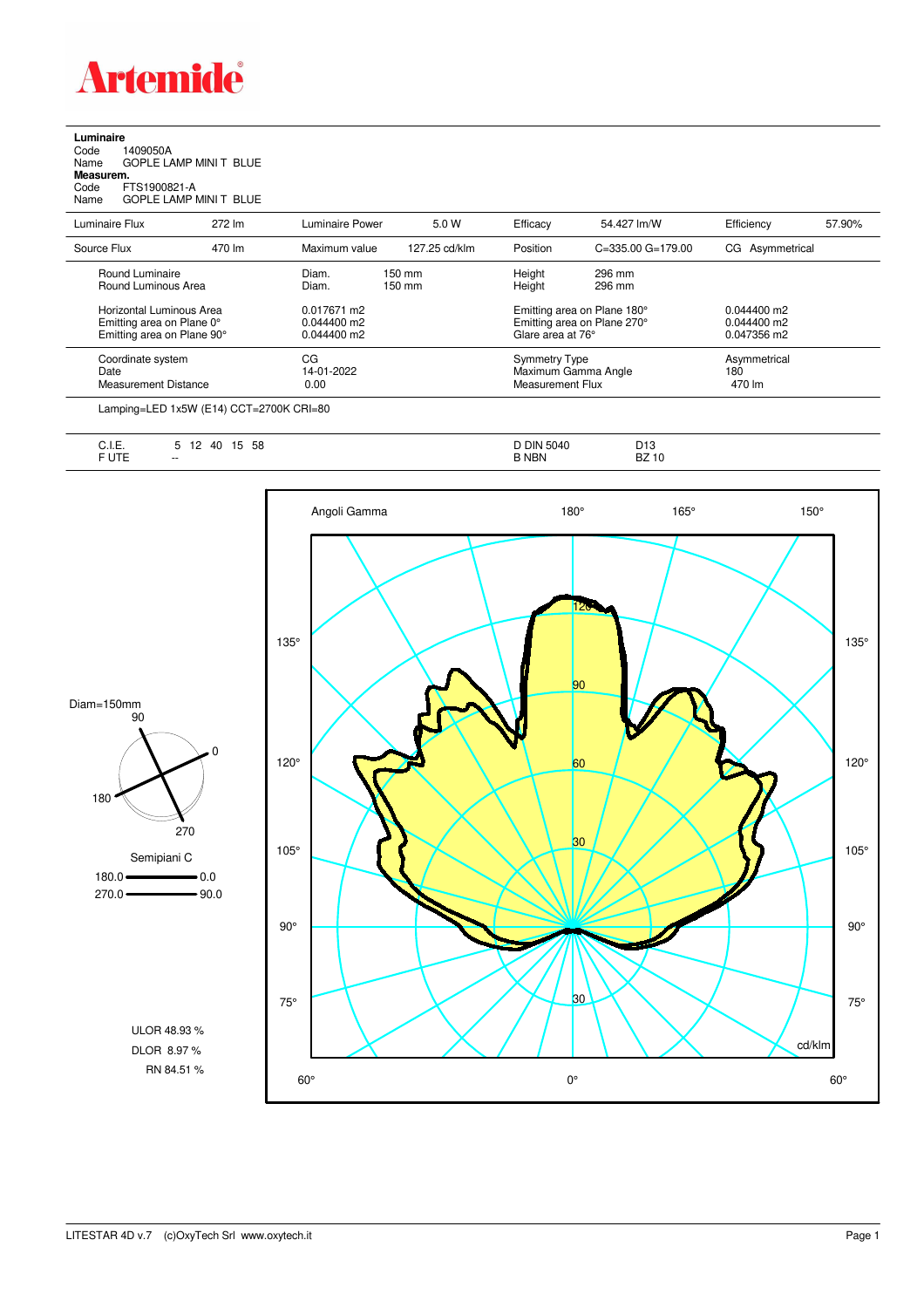

## **Luminaire**<br>Code 1<br>Name ( Code 1409050A Name GOPLE LAMP MINI T BLUE **Measurem.**

Code FTS1900821-A Name GOPLE LAMP MINI T BLUE

| Luminaire Flux              | 272 lm | Luminaire Power | 5.0 W            | Efficacy                | 54.427 lm/W                 | Efficiency      | 57.90% |
|-----------------------------|--------|-----------------|------------------|-------------------------|-----------------------------|-----------------|--------|
| Source Flux                 | 470 lm | Maximum value   | 127.25 cd/klm    | Position                | $C = 335.00$ $G = 179.00$   | CG Asymmetrical |        |
| Round Luminaire             |        | Diam.           | $150 \text{ mm}$ | Height                  | 296 mm                      |                 |        |
| Round Luminous Area         |        | Diam.           | $150 \text{ mm}$ | Height                  | 296 mm                      |                 |        |
| Horizontal Luminous Area    |        | 0.017671 m2     |                  |                         | Emitting area on Plane 180° | $0.044400$ m2   |        |
| Emitting area on Plane 0°   |        | 0.044400 m2     |                  |                         | Emitting area on Plane 270° | $0.044400$ m2   |        |
| Emitting area on Plane 90°  |        | 0.044400 m2     |                  | Glare area at 76°       |                             | 0.047356 m2     |        |
| Coordinate system           |        | СG              |                  | <b>Symmetry Type</b>    |                             | Asymmetrical    |        |
| Date                        |        | 14-01-2022      |                  | Maximum Gamma Angle     |                             | 180             |        |
| <b>Measurement Distance</b> |        | 0.00            |                  | <b>Measurement Flux</b> |                             | 470 lm          |        |

Lamping=LED 1x5W (E14) CCT=2700K CRI=80